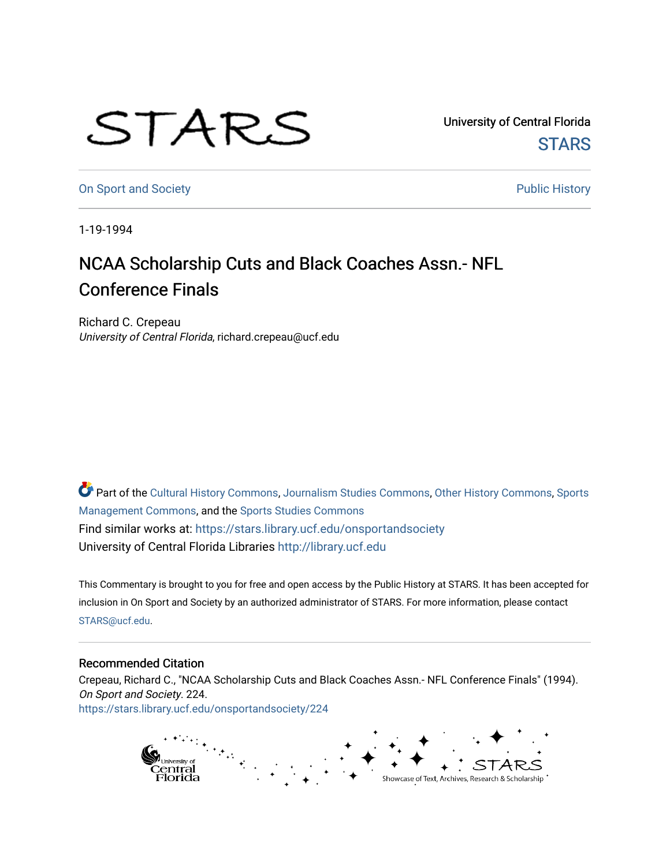## STARS

University of Central Florida **STARS** 

[On Sport and Society](https://stars.library.ucf.edu/onsportandsociety) **Public History** Public History

1-19-1994

## NCAA Scholarship Cuts and Black Coaches Assn.- NFL Conference Finals

Richard C. Crepeau University of Central Florida, richard.crepeau@ucf.edu

Part of the [Cultural History Commons](http://network.bepress.com/hgg/discipline/496?utm_source=stars.library.ucf.edu%2Fonsportandsociety%2F224&utm_medium=PDF&utm_campaign=PDFCoverPages), [Journalism Studies Commons,](http://network.bepress.com/hgg/discipline/333?utm_source=stars.library.ucf.edu%2Fonsportandsociety%2F224&utm_medium=PDF&utm_campaign=PDFCoverPages) [Other History Commons,](http://network.bepress.com/hgg/discipline/508?utm_source=stars.library.ucf.edu%2Fonsportandsociety%2F224&utm_medium=PDF&utm_campaign=PDFCoverPages) [Sports](http://network.bepress.com/hgg/discipline/1193?utm_source=stars.library.ucf.edu%2Fonsportandsociety%2F224&utm_medium=PDF&utm_campaign=PDFCoverPages) [Management Commons](http://network.bepress.com/hgg/discipline/1193?utm_source=stars.library.ucf.edu%2Fonsportandsociety%2F224&utm_medium=PDF&utm_campaign=PDFCoverPages), and the [Sports Studies Commons](http://network.bepress.com/hgg/discipline/1198?utm_source=stars.library.ucf.edu%2Fonsportandsociety%2F224&utm_medium=PDF&utm_campaign=PDFCoverPages) Find similar works at: <https://stars.library.ucf.edu/onsportandsociety> University of Central Florida Libraries [http://library.ucf.edu](http://library.ucf.edu/) 

This Commentary is brought to you for free and open access by the Public History at STARS. It has been accepted for inclusion in On Sport and Society by an authorized administrator of STARS. For more information, please contact [STARS@ucf.edu](mailto:STARS@ucf.edu).

## Recommended Citation

Crepeau, Richard C., "NCAA Scholarship Cuts and Black Coaches Assn.- NFL Conference Finals" (1994). On Sport and Society. 224. [https://stars.library.ucf.edu/onsportandsociety/224](https://stars.library.ucf.edu/onsportandsociety/224?utm_source=stars.library.ucf.edu%2Fonsportandsociety%2F224&utm_medium=PDF&utm_campaign=PDFCoverPages)

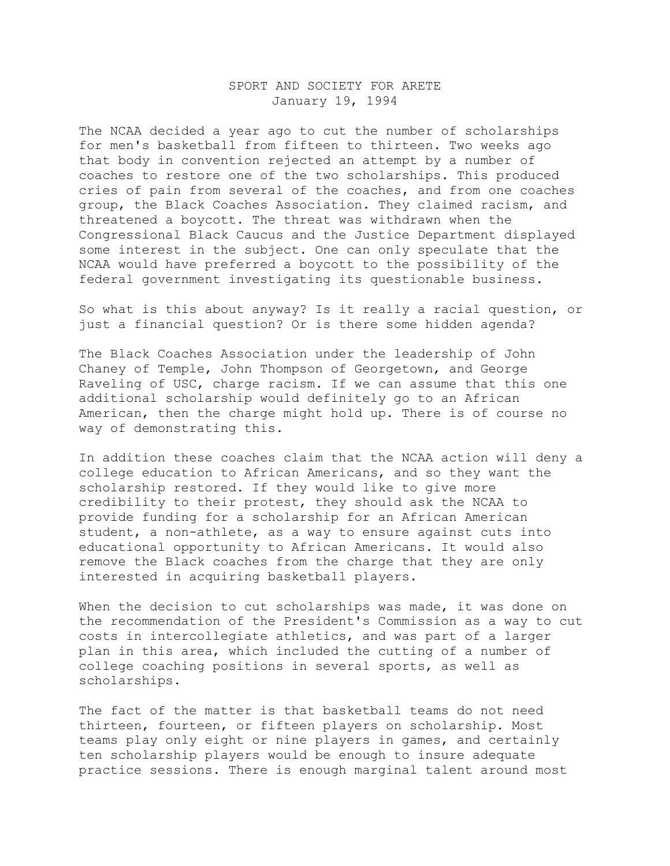## SPORT AND SOCIETY FOR ARETE January 19, 1994

The NCAA decided a year ago to cut the number of scholarships for men's basketball from fifteen to thirteen. Two weeks ago that body in convention rejected an attempt by a number of coaches to restore one of the two scholarships. This produced cries of pain from several of the coaches, and from one coaches group, the Black Coaches Association. They claimed racism, and threatened a boycott. The threat was withdrawn when the Congressional Black Caucus and the Justice Department displayed some interest in the subject. One can only speculate that the NCAA would have preferred a boycott to the possibility of the federal government investigating its questionable business.

So what is this about anyway? Is it really a racial question, or just a financial question? Or is there some hidden agenda?

The Black Coaches Association under the leadership of John Chaney of Temple, John Thompson of Georgetown, and George Raveling of USC, charge racism. If we can assume that this one additional scholarship would definitely go to an African American, then the charge might hold up. There is of course no way of demonstrating this.

In addition these coaches claim that the NCAA action will deny a college education to African Americans, and so they want the scholarship restored. If they would like to give more credibility to their protest, they should ask the NCAA to provide funding for a scholarship for an African American student, a non-athlete, as a way to ensure against cuts into educational opportunity to African Americans. It would also remove the Black coaches from the charge that they are only interested in acquiring basketball players.

When the decision to cut scholarships was made, it was done on the recommendation of the President's Commission as a way to cut costs in intercollegiate athletics, and was part of a larger plan in this area, which included the cutting of a number of college coaching positions in several sports, as well as scholarships.

The fact of the matter is that basketball teams do not need thirteen, fourteen, or fifteen players on scholarship. Most teams play only eight or nine players in games, and certainly ten scholarship players would be enough to insure adequate practice sessions. There is enough marginal talent around most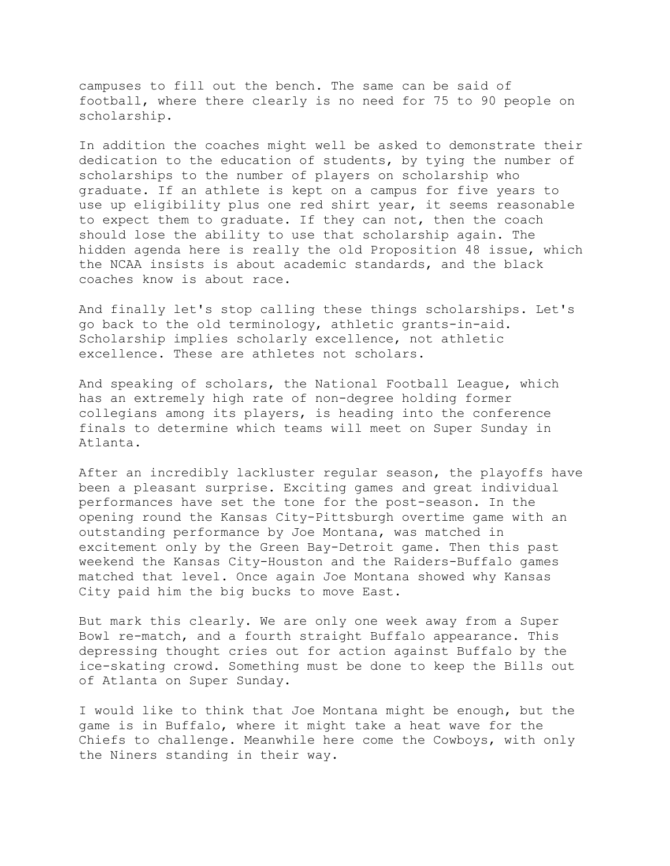campuses to fill out the bench. The same can be said of football, where there clearly is no need for 75 to 90 people on scholarship.

In addition the coaches might well be asked to demonstrate their dedication to the education of students, by tying the number of scholarships to the number of players on scholarship who graduate. If an athlete is kept on a campus for five years to use up eligibility plus one red shirt year, it seems reasonable to expect them to graduate. If they can not, then the coach should lose the ability to use that scholarship again. The hidden agenda here is really the old Proposition 48 issue, which the NCAA insists is about academic standards, and the black coaches know is about race.

And finally let's stop calling these things scholarships. Let's go back to the old terminology, athletic grants-in-aid. Scholarship implies scholarly excellence, not athletic excellence. These are athletes not scholars.

And speaking of scholars, the National Football League, which has an extremely high rate of non-degree holding former collegians among its players, is heading into the conference finals to determine which teams will meet on Super Sunday in Atlanta.

After an incredibly lackluster regular season, the playoffs have been a pleasant surprise. Exciting games and great individual performances have set the tone for the post-season. In the opening round the Kansas City-Pittsburgh overtime game with an outstanding performance by Joe Montana, was matched in excitement only by the Green Bay-Detroit game. Then this past weekend the Kansas City-Houston and the Raiders-Buffalo games matched that level. Once again Joe Montana showed why Kansas City paid him the big bucks to move East.

But mark this clearly. We are only one week away from a Super Bowl re-match, and a fourth straight Buffalo appearance. This depressing thought cries out for action against Buffalo by the ice-skating crowd. Something must be done to keep the Bills out of Atlanta on Super Sunday.

I would like to think that Joe Montana might be enough, but the game is in Buffalo, where it might take a heat wave for the Chiefs to challenge. Meanwhile here come the Cowboys, with only the Niners standing in their way.